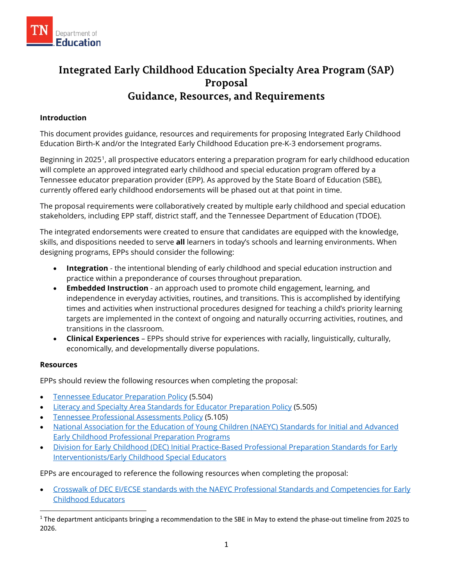

# **Integrated Early Childhood Education Specialty Area Program (SAP) Proposal Guidance, Resources, and Requirements**

## **Introduction**

This document provides guidance, resources and requirements for proposing Integrated Early Childhood Education Birth-K and/or the Integrated Early Childhood Education pre-K-3 endorsement programs.

Beginning in 2025[1](#page-0-0), all prospective educators entering a preparation program for early childhood education will complete an approved integrated early childhood and special education program offered by a Tennessee educator preparation provider (EPP). As approved by the State Board of Education (SBE), currently offered early childhood endorsements will be phased out at that point in time.

The proposal requirements were collaboratively created by multiple early childhood and special education stakeholders, including EPP staff, district staff, and the Tennessee Department of Education (TDOE).

The integrated endorsements were created to ensure that candidates are equipped with the knowledge, skills, and dispositions needed to serve **all** learners in today's schools and learning environments. When designing programs, EPPs should consider the following:

- **Integration** the intentional blending of early childhood and special education instruction and practice within a preponderance of courses throughout preparation.
- **Embedded Instruction** an approach used to promote child engagement, learning, and independence in everyday activities, routines, and transitions. This is accomplished by identifying times and activities when instructional procedures designed for teaching a child's priority learning targets are implemented in the context of ongoing and naturally occurring activities, routines, and transitions in the classroom.
- **Clinical Experiences** EPPs should strive for experiences with racially, linguistically, culturally, economically, and developmentally diverse populations.

#### **Resources**

EPPs should review the following resources when completing the proposal:

- [Tennessee Educator Preparation Policy](https://www.tn.gov/sbe/rules--policies-and-guidance/policies.html) (5.504)
- **[Literacy and Specialty Area Standards for Educator Preparation Policy](https://www.tn.gov/sbe/rules--policies-and-guidance/policies.html) (5.505)**
- [Tennessee Professional Assessments Policy](https://www.tn.gov/sbe/rules--policies-and-guidance/policies.html) (5.105)
- [National Association for the Education of Young Children \(NAEYC\) Standards for Initial and Advanced](https://www.naeyc.org/sites/default/files/globally-shared/downloads/PDFs/accreditation/higher-ed/naeyc-higher-ed-accreditation-standards.pdf)  [Early Childhood Professional Preparation Programs](https://www.naeyc.org/sites/default/files/globally-shared/downloads/PDFs/accreditation/higher-ed/naeyc-higher-ed-accreditation-standards.pdf)
- [Division for Early Childhood \(DEC\) Initial Practice-Based Professional Preparation Standards for Early](https://d4ab05f7-6074-4ec9-998a-232c5d918236.filesusr.com/ugd/95f212_6e8952cda15f48b3935a7729dddcb50d.pdf)  [Interventionists/Early Childhood Special Educators](https://d4ab05f7-6074-4ec9-998a-232c5d918236.filesusr.com/ugd/95f212_6e8952cda15f48b3935a7729dddcb50d.pdf)

EPPs are encouraged to reference the following resources when completing the proposal:

• [Crosswalk of DEC EI/ECSE standards with the NAEYC Professional Standards and Competencies for Early](https://d4ab05f7-6074-4ec9-998a-232c5d918236.filesusr.com/ugd/95f212_c219c6614e404012bec7ba34b2d57782.pdf)  [Childhood Educators](https://d4ab05f7-6074-4ec9-998a-232c5d918236.filesusr.com/ugd/95f212_c219c6614e404012bec7ba34b2d57782.pdf)

<span id="page-0-0"></span> $1$  The department anticipants bringing a recommendation to the SBE in May to extend the phase-out timeline from 2025 to 2026.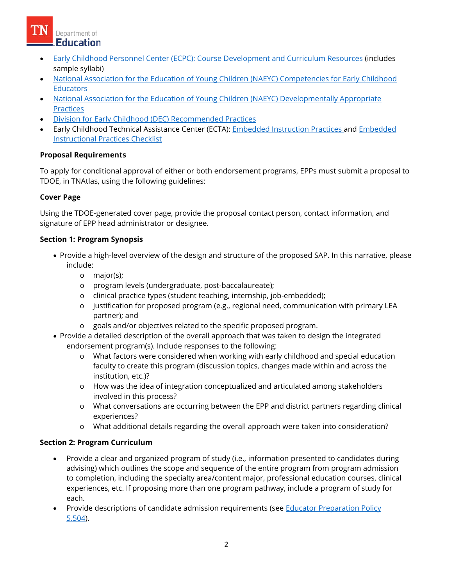Department of **Education** 

- [Early Childhood Personnel Center \(ECPC\): Course Development and Curriculum Resources](https://ecpcta.org/ihe-faculty/) (includes sample syllabi)
- [National Association for the Education of Young Children \(NAEYC\) Competencies for Early Childhood](https://www.naeyc.org/sites/default/files/globally-shared/downloads/PDFs/resources/position-statements/professional_standards_and_competencies_for_early_childhood_educators.pdf)  **[Educators](https://www.naeyc.org/sites/default/files/globally-shared/downloads/PDFs/resources/position-statements/professional_standards_and_competencies_for_early_childhood_educators.pdf)**
- [National Association for the Education of Young Children \(NAEYC\) Developmentally Appropriate](https://www.naeyc.org/resources/topics/dap)  **[Practices](https://www.naeyc.org/resources/topics/dap)**
- [Division for Early Childhood \(DEC\) Recommended Practices](https://d4ab05f7-6074-4ec9-998a-232c5d918236.filesusr.com/ugd/95f212_12c3bc4467b5415aa2e76e9fded1ab30.pdf)
- Early Childhood Technical Assistance Center (ECTA): [Embedded Instruction Practices a](https://ectacenter.org/%7Epdfs/decrp/PG_Ins_EmbeddedInstr_prac_print_2017.pdf)nd [Embedded](https://ectacenter.org/%7Epdfs/decrp/INS-2_Embedded_Instruction_2018.pdf)  [Instructional Practices Checklist](https://ectacenter.org/%7Epdfs/decrp/INS-2_Embedded_Instruction_2018.pdf)

# **Proposal Requirements**

To apply for conditional approval of either or both endorsement programs, EPPs must submit a proposal to TDOE, in TNAtlas, using the following guidelines:

## **Cover Page**

Using the TDOE-generated cover page, provide the proposal contact person, contact information, and signature of EPP head administrator or designee.

## **Section 1: Program Synopsis**

- Provide a high-level overview of the design and structure of the proposed SAP. In this narrative, please include:
	- o major(s);
	- o program levels (undergraduate, post-baccalaureate);
	- o clinical practice types (student teaching, internship, job-embedded);
	- o justification for proposed program (e.g., regional need, communication with primary LEA partner); and
	- o goals and/or objectives related to the specific proposed program.
- Provide a detailed description of the overall approach that was taken to design the integrated endorsement program(s). Include responses to the following:
	- o What factors were considered when working with early childhood and special education faculty to create this program (discussion topics, changes made within and across the institution, etc.)?
	- o How was the idea of integration conceptualized and articulated among stakeholders involved in this process?
	- o What conversations are occurring between the EPP and district partners regarding clinical experiences?
	- o What additional details regarding the overall approach were taken into consideration?

## **Section 2: Program Curriculum**

- Provide a clear and organized program of study (i.e., information presented to candidates during advising) which outlines the scope and sequence of the entire program from program admission to completion, including the specialty area/content major, professional education courses, clinical experiences, etc. If proposing more than one program pathway, include a program of study for each.
- Provide descriptions of candidate admission requirements (see **Educator Preparation Policy** [5.504\)](https://www.tn.gov/sbe/rules--policies-and-guidance/policies.html).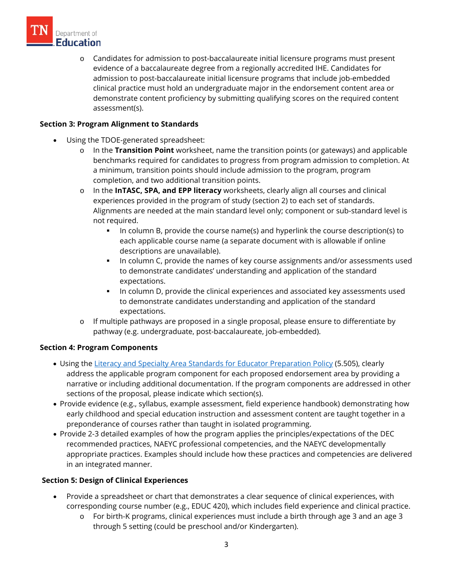

o Candidates for admission to post-baccalaureate initial licensure programs must present evidence of a baccalaureate degree from a regionally accredited IHE. Candidates for admission to post-baccalaureate initial licensure programs that include job-embedded clinical practice must hold an undergraduate major in the endorsement content area or demonstrate content proficiency by submitting qualifying scores on the required content assessment(s).

## **Section 3: Program Alignment to Standards**

- Using the TDOE-generated spreadsheet:
	- o In the **Transition Point** worksheet, name the transition points (or gateways) and applicable benchmarks required for candidates to progress from program admission to completion. At a minimum, transition points should include admission to the program, program completion, and two additional transition points.
	- o In the **InTASC, SPA, and EPP literacy** worksheets, clearly align all courses and clinical experiences provided in the program of study (section 2) to each set of standards. Alignments are needed at the main standard level only; component or sub-standard level is not required.
		- In column B, provide the course name(s) and hyperlink the course description(s) to each applicable course name (a separate document with is allowable if online descriptions are unavailable).
		- In column C, provide the names of key course assignments and/or assessments used to demonstrate candidates' understanding and application of the standard expectations.
		- **I.** In column D, provide the clinical experiences and associated key assessments used to demonstrate candidates understanding and application of the standard expectations.
	- o If multiple pathways are proposed in a single proposal, please ensure to differentiate by pathway (e.g. undergraduate, post-baccalaureate, job-embedded).

#### **Section 4: Program Components**

- Using the [Literacy and Specialty Area Standards for Educator Preparation Policy](https://www.tn.gov/sbe/rules--policies-and-guidance/policies.html) (5.505), clearly address the applicable program component for each proposed endorsement area by providing a narrative or including additional documentation. If the program components are addressed in other sections of the proposal, please indicate which section(s).
- Provide evidence (e.g., syllabus, example assessment, field experience handbook) demonstrating how early childhood and special education instruction and assessment content are taught together in a preponderance of courses rather than taught in isolated programming.
- Provide 2-3 detailed examples of how the program applies the principles/expectations of the DEC recommended practices, NAEYC professional competencies, and the NAEYC developmentally appropriate practices. Examples should include how these practices and competencies are delivered in an integrated manner.

## **Section 5: Design of Clinical Experiences**

- Provide a spreadsheet or chart that demonstrates a clear sequence of clinical experiences, with corresponding course number (e.g., EDUC 420), which includes field experience and clinical practice.
	- o For birth-K programs, clinical experiences must include a birth through age 3 and an age 3 through 5 setting (could be preschool and/or Kindergarten).